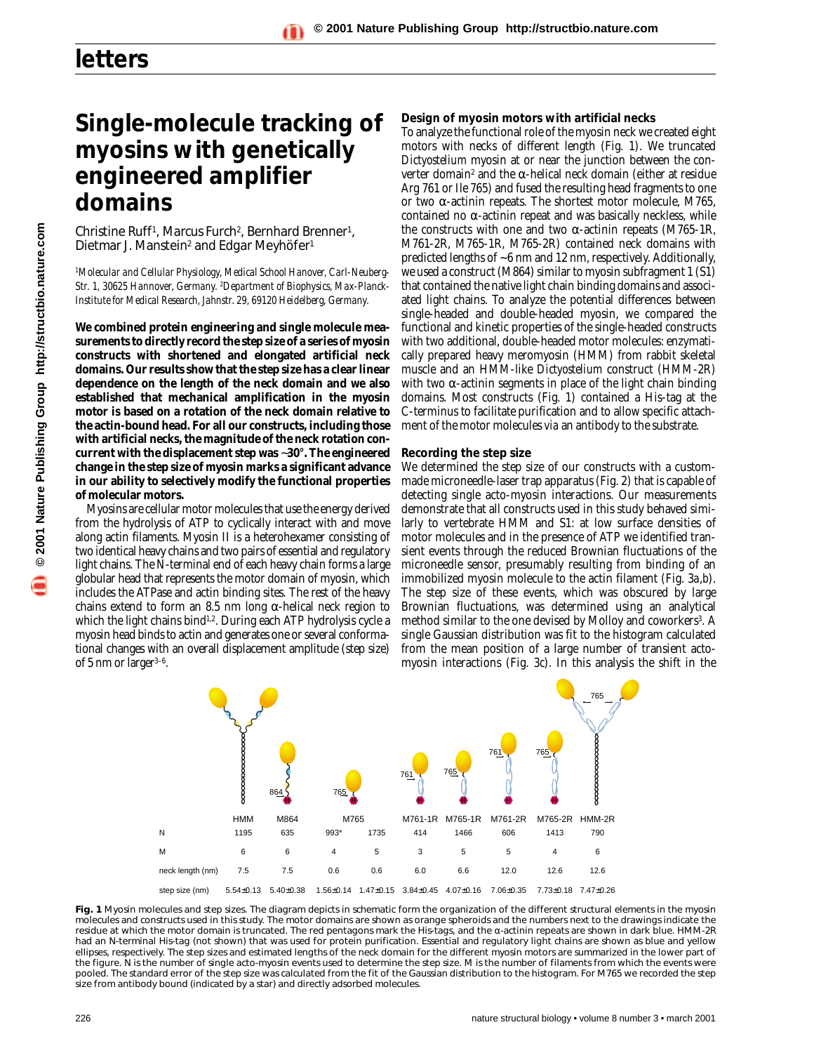# **Single-molecule tracking of myosins with genetically engineered amplifier domains**

Christine Ruff<sup>1</sup>, Marcus Furch<sup>2</sup>, Bernhard Brenner<sup>1</sup>, Dietmar J. Manstein<sup>2</sup> and Edgar Meyhöfer<sup>1</sup>

*1Molecular and Cellular Physiology, Medical School Hanover, Carl-Neuberg-Str. 1, 30625 Hannover, Germany. 2Department of Biophysics, Max-Planck-Institute for Medical Research, Jahnstr. 29, 69120 Heidelberg, Germany.*

**We combined protein engineering and single molecule measurements to directly record the step size of a series of myosin constructs with shortened and elongated artificial neck domains. Our results show that the step size has a clear linear dependence on the length of the neck domain and we also established that mechanical amplification in the myosin motor is based on a rotation of the neck domain relative to the actin-bound head. For all our constructs, including those with artificial necks, the magnitude of the neck rotation concurrent with the displacement step was** ∼**30°. The engineered change in the step size of myosin marks a significant advance in our ability to selectively modify the functional properties of molecular motors.**

Myosins are cellular motor molecules that use the energy derived from the hydrolysis of ATP to cyclically interact with and move along actin filaments. Myosin II is a heterohexamer consisting of two identical heavy chains and two pairs of essential and regulatory light chains. The N-terminal end of each heavy chain forms a large globular head that represents the motor domain of myosin, which includes the ATPase and actin binding sites. The rest of the heavy chains extend to form an 8.5 nm long α-helical neck region to which the light chains bind<sup>1,2</sup>. During each ATP hydrolysis cycle a myosin head binds to actin and generates one or several conformational changes with an overall displacement amplitude (step size) of 5 nm or larger $3-6$ .

#### **Design of myosin motors with artificial necks**

To analyze the functional role of the myosin neck we created eight motors with necks of different length (Fig. 1). We truncated *Dictyostelium* myosin at or near the junction between the converter domain<sup>2</sup> and the α-helical neck domain (either at residue Arg 761 or Ile 765) and fused the resulting head fragments to one or two α-actinin repeats. The shortest motor molecule, M765, contained no  $\alpha$ -actinin repeat and was basically neckless, while the constructs with one and two α-actinin repeats (M765-1R, M761-2R, M765-1R, M765-2R) contained neck domains with predicted lengths of ~6 nm and 12 nm, respectively. Additionally, we used a construct (M864) similar to myosin subfragment 1 (S1) that contained the native light chain binding domains and associated light chains. To analyze the potential differences between single-headed and double-headed myosin, we compared the functional and kinetic properties of the single-headed constructs with two additional, double-headed motor molecules: enzymatically prepared heavy meromyosin (HMM) from rabbit skeletal muscle and an HMM-like *Dictyostelium* construct (HMM-2R) with two  $\alpha$ -actinin segments in place of the light chain binding domains. Most constructs (Fig. 1) contained a His-tag at the C-terminus to facilitate purification and to allow specific attachment of the motor molecules *via* an antibody to the substrate.

#### **Recording the step size**

We determined the step size of our constructs with a custommade microneedle-laser trap apparatus (Fig. 2) that is capable of detecting single acto-myosin interactions. Our measurements demonstrate that all constructs used in this study behaved similarly to vertebrate HMM and S1: at low surface densities of motor molecules and in the presence of ATP we identified transient events through the reduced Brownian fluctuations of the microneedle sensor, presumably resulting from binding of an immobilized myosin molecule to the actin filament (Fig. 3*a*,*b*). The step size of these events, which was obscured by large Brownian fluctuations, was determined using an analytical method similar to the one devised by Molloy and coworkers<sup>3</sup>. A single Gaussian distribution was fit to the histogram calculated from the mean position of a large number of transient actomyosin interactions (Fig. 3*c*). In this analysis the shift in the



Fig. 1 Myosin molecules and step sizes. The diagram depicts in schematic form the organization of the different structural elements in the myosin molecules and constructs used in this study. The motor domains are shown as orange spheroids and the numbers next to the drawings indicate the residue at which the motor domain is truncated. The red pentagons mark the His-tags, and the α-actinin repeats are shown in dark blue. HMM-2R had an N-terminal His-tag (not shown) that was used for protein purification. Essential and regulatory light chains are shown as blue and yellow ellipses, respectively. The step sizes and estimated lengths of the neck domain for the different myosin motors are summarized in the lower part of the figure. N is the number of single acto-myosin events used to determine the step size. M is the number of filaments from which the events were pooled. The standard error of the step size was calculated from the fit of the Gaussian distribution to the histogram. For M765 we recorded the step size from antibody bound (indicated by a star) and directly adsorbed molecules.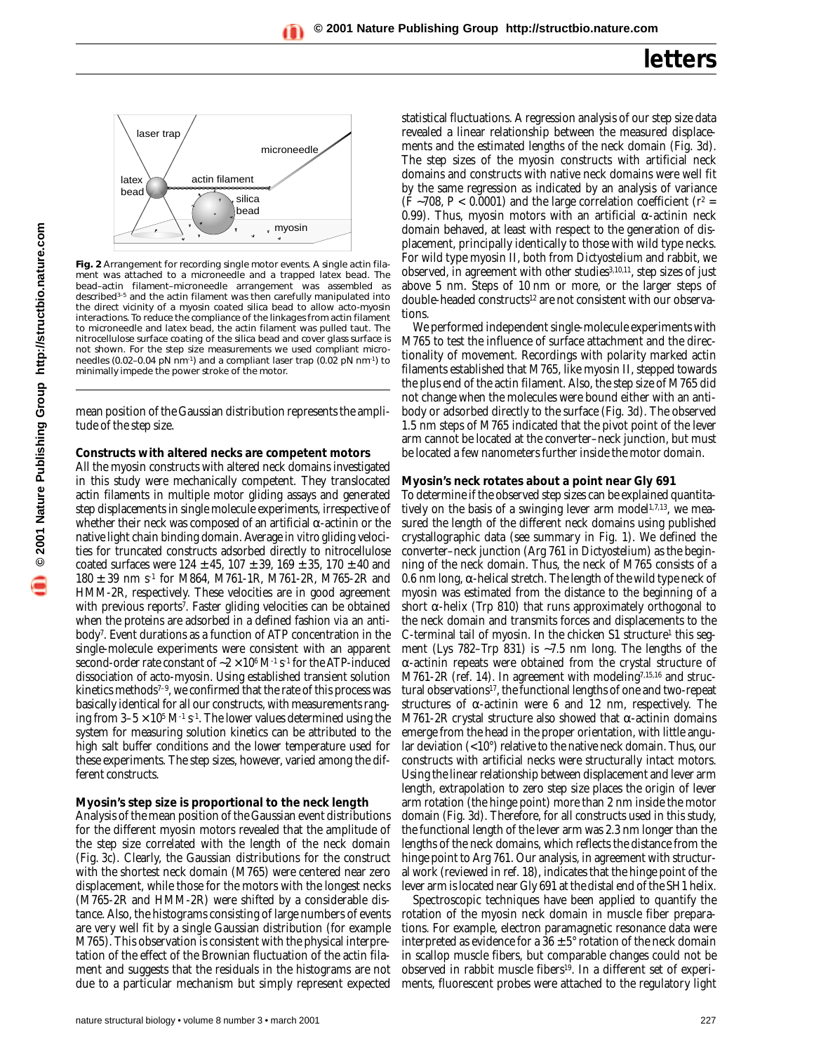

**Fig. 2** Arrangement for recording single motor events. A single actin filament was attached to a microneedle and a trapped latex bead. The bead–actin filament–microneedle arrangement was assembled as described3–5 and the actin filament was then carefully manipulated into the direct vicinity of a myosin coated silica bead to allow acto-myosin interactions. To reduce the compliance of the linkages from actin filament to microneedle and latex bead, the actin filament was pulled taut. The nitrocellulose surface coating of the silica bead and cover glass surface is not shown. For the step size measurements we used compliant microneedles (0.02–0.04 pN nm-1) and a compliant laser trap (0.02 pN nm-1) to minimally impede the power stroke of the motor.

mean position of the Gaussian distribution represents the amplitude of the step size.

### **Constructs with altered necks are competent motors**

All the myosin constructs with altered neck domains investigated in this study were mechanically competent. They translocated actin filaments in multiple motor gliding assays and generated step displacements in single molecule experiments, irrespective of whether their neck was composed of an artificial  $\alpha$ -actinin or the native light chain binding domain. Average *in vitro* gliding velocities for truncated constructs adsorbed directly to nitrocellulose coated surfaces were  $124 \pm 45$ ,  $107 \pm 39$ ,  $169 \pm 35$ ,  $170 \pm 40$  and  $180 \pm 39$  nm s<sup>-1</sup> for M864, M761-1R, M761-2R, M765-2R and HMM-2R, respectively. These velocities are in good agreement with previous reports<sup>7</sup>. Faster gliding velocities can be obtained when the proteins are adsorbed in a defined fashion *via* an antibody7. Event durations as a function of ATP concentration in the single-molecule experiments were consistent with an apparent second-order rate constant of ~2 × 10<sup>6</sup> M<sup>-1</sup> s<sup>-1</sup> for the ATP-induced dissociation of acto-myosin. Using established transient solution kinetics methods<sup> $7-9$ </sup>, we confirmed that the rate of this process was basically identical for all our constructs, with measurements ranging from  $3-5 \times 10^5$  M<sup>-1</sup> s<sup>-1</sup>. The lower values determined using the system for measuring solution kinetics can be attributed to the high salt buffer conditions and the lower temperature used for these experiments. The step sizes, however, varied among the different constructs.

### **Myosin's step size is proportional to the neck length**

Analysis of the mean position of the Gaussian event distributions for the different myosin motors revealed that the amplitude of the step size correlated with the length of the neck domain (Fig. *3c*). Clearly, the Gaussian distributions for the construct with the shortest neck domain (M765) were centered near zero displacement, while those for the motors with the longest necks (M765-2R and HMM-2R) were shifted by a considerable distance. Also, the histograms consisting of large numbers of events are very well fit by a single Gaussian distribution (for example M765). This observation is consistent with the physical interpretation of the effect of the Brownian fluctuation of the actin filament and suggests that the residuals in the histograms are not due to a particular mechanism but simply represent expected

statistical fluctuations. A regression analysis of our step size data revealed a linear relationship between the measured displacements and the estimated lengths of the neck domain (Fig. 3*d*). The step sizes of the myosin constructs with artificial neck domains and constructs with native neck domains were well fit by the same regression as indicated by an analysis of variance (F ~708, P < 0.0001) and the large correlation coefficient ( $r^2$  = 0.99). Thus, myosin motors with an artificial α-actinin neck domain behaved, at least with respect to the generation of displacement, principally identically to those with wild type necks. For wild type myosin II, both from *Dictyostelium* and rabbit, we observed, in agreement with other studies<sup>3,10,11</sup>, step sizes of just above 5 nm. Steps of 10 nm or more, or the larger steps of double-headed constructs<sup>12</sup> are not consistent with our observations.

We performed independent single-molecule experiments with M765 to test the influence of surface attachment and the directionality of movement. Recordings with polarity marked actin filaments established that M765, like myosin II, stepped towards the plus end of the actin filament. Also, the step size of M765 did not change when the molecules were bound either with an antibody or adsorbed directly to the surface (Fig. 3*d*). The observed 1.5 nm steps of M765 indicated that the pivot point of the lever arm cannot be located at the converter–neck junction, but must be located a few nanometers further inside the motor domain.

### **Myosin's neck rotates about a point near Gly 691**

To determine if the observed step sizes can be explained quantitatively on the basis of a swinging lever arm model $1,7,13$ , we measured the length of the different neck domains using published crystallographic data (see summary in Fig. 1). We defined the converter–neck junction (Arg 761 in *Dictyostelium*) as the beginning of the neck domain. Thus, the neck of M765 consists of a 0.6 nm long,  $\alpha$ -helical stretch. The length of the wild type neck of myosin was estimated from the distance to the beginning of a short  $\alpha$ -helix (Trp 810) that runs approximately orthogonal to the neck domain and transmits forces and displacements to the C-terminal tail of myosin. In the chicken S1 structure<sup>1</sup> this segment (Lys 782–Trp 831) is ∼7.5 nm long. The lengths of the α-actinin repeats were obtained from the crystal structure of M761-2R (ref. 14). In agreement with modeling<sup>7,15,16</sup> and structural observations<sup>17</sup>, the functional lengths of one and two-repeat structures of  $\alpha$ -actinin were 6 and 12 nm, respectively. The M761-2R crystal structure also showed that  $\alpha$ -actinin domains emerge from the head in the proper orientation, with little angular deviation (<10°) relative to the native neck domain. Thus, our constructs with artificial necks were structurally intact motors. Using the linear relationship between displacement and lever arm length, extrapolation to zero step size places the origin of lever arm rotation (the hinge point) more than 2 nm inside the motor domain (Fig. 3*d*). Therefore, for all constructs used in this study, the functional length of the lever arm was 2.3 nm longer than the lengths of the neck domains, which reflects the distance from the hinge point to Arg 761. Our analysis, in agreement with structural work (reviewed in ref. 18), indicates that the hinge point of the lever arm is located near Gly 691 at the distal end of the SH1 helix.

Spectroscopic techniques have been applied to quantify the rotation of the myosin neck domain in muscle fiber preparations. For example, electron paramagnetic resonance data were interpreted as evidence for a  $36 \pm 5^{\circ}$  rotation of the neck domain in scallop muscle fibers, but comparable changes could not be observed in rabbit muscle fibers19. In a different set of experiments, fluorescent probes were attached to the regulatory light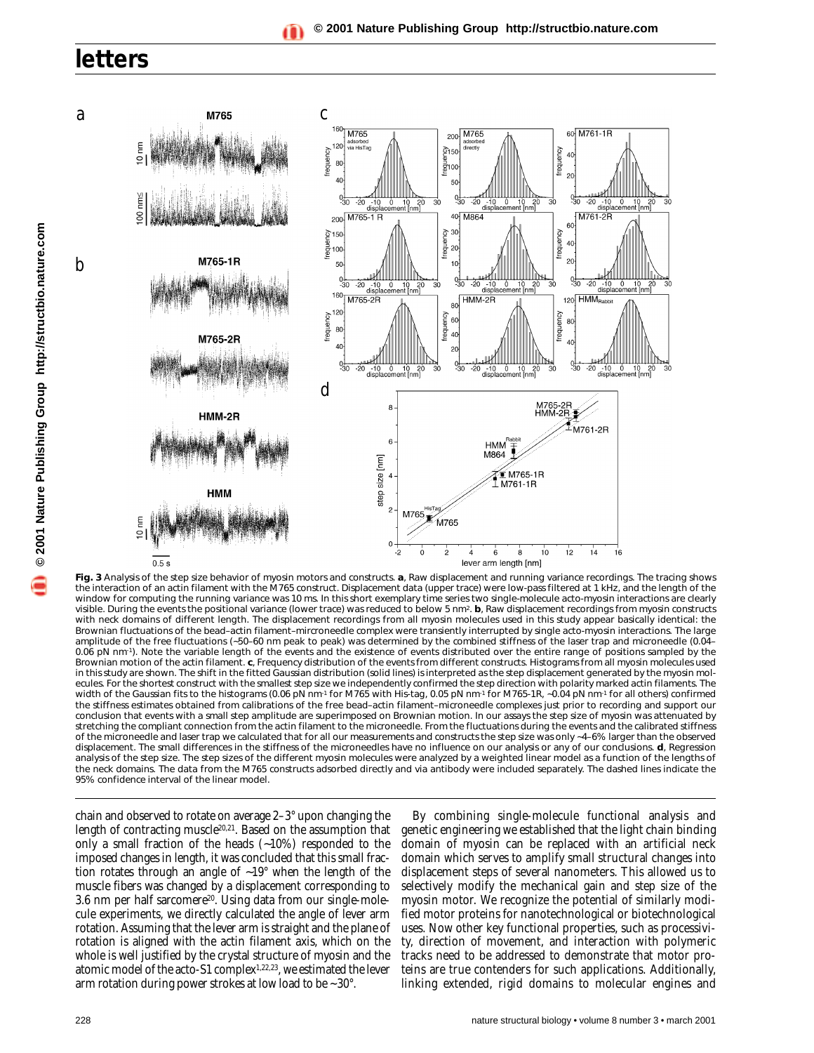

**Fig. 3** Analysis of the step size behavior of myosin motors and constructs. *a*, Raw displacement and running variance recordings. The tracing shows the interaction of an actin filament with the M765 construct. Displacement data (upper trace) were low-pass filtered at 1 kHz, and the length of the window for computing the running variance was 10 ms. In this short exemplary time series two single-molecule acto-myosin interactions are clearly visible. During the events the positional variance (lower trace) was reduced to below 5 nm2. *b*, Raw displacement recordings from myosin constructs with neck domains of different length. The displacement recordings from all myosin molecules used in this study appear basically identical: the Brownian fluctuations of the bead–actin filament–mircroneedle complex were transiently interrupted by single acto-myosin interactions. The large amplitude of the free fluctuations (∼50–60 nm peak to peak) was determined by the combined stiffness of the laser trap and microneedle (0.04– 0.06 pN nm<sup>-1</sup>). Note the variable length of the events and the existence of events distributed over the entire range of positions sampled by the Brownian motion of the actin filament. *c*, Frequency distribution of the events from different constructs. Histograms from all myosin molecules used in this study are shown. The shift in the fitted Gaussian distribution (solid lines) is interpreted as the step displacement generated by the myosin molecules. For the shortest construct with the smallest step size we independently confirmed the step direction with polarity marked actin filaments. The width of the Gaussian fits to the histograms (0.06 pN nm<sup>-1</sup> for M765 with His-tag, 0.05 pN nm<sup>-1</sup> for M765-1R, ∼0.04 pN nm<sup>-1</sup> for all others) confirmed the stiffness estimates obtained from calibrations of the free bead–actin filament–microneedle complexes just prior to recording and support our conclusion that events with a small step amplitude are superimposed on Brownian motion. In our assays the step size of myosin was attenuated by stretching the compliant connection from the actin filament to the microneedle. From the fluctuations during the events and the calibrated stiffness of the microneedle and laser trap we calculated that for all our measurements and constructs the step size was only ∼4–6% larger than the observed displacement. The small differences in the stiffness of the microneedles have no influence on our analysis or any of our conclusions. *d*, Regression analysis of the step size. The step sizes of the different myosin molecules were analyzed by a weighted linear model as a function of the lengths of the neck domains. The data from the M765 constructs adsorbed directly and *via* antibody were included separately. The dashed lines indicate the 95% confidence interval of the linear model.

chain and observed to rotate on average 2–3° upon changing the length of contracting muscle20,21. Based on the assumption that only a small fraction of the heads (∼10%) responded to the imposed changes in length, it was concluded that this small fraction rotates through an angle of ∼19° when the length of the muscle fibers was changed by a displacement corresponding to 3.6 nm per half sarcomere20. Using data from our single-molecule experiments, we directly calculated the angle of lever arm rotation. Assuming that the lever arm is straight and the plane of rotation is aligned with the actin filament axis, which on the whole is well justified by the crystal structure of myosin and the atomic model of the acto-S1 complex1,22,23, we estimated the lever arm rotation during power strokes at low load to be ~30°.

By combining single-molecule functional analysis and genetic engineering we established that the light chain binding domain of myosin can be replaced with an artificial neck domain which serves to amplify small structural changes into displacement steps of several nanometers. This allowed us to selectively modify the mechanical gain and step size of the myosin motor. We recognize the potential of similarly modified motor proteins for nanotechnological or biotechnological uses. Now other key functional properties, such as processivity, direction of movement, and interaction with polymeric tracks need to be addressed to demonstrate that motor proteins are true contenders for such applications. Additionally, linking extended, rigid domains to molecular engines and